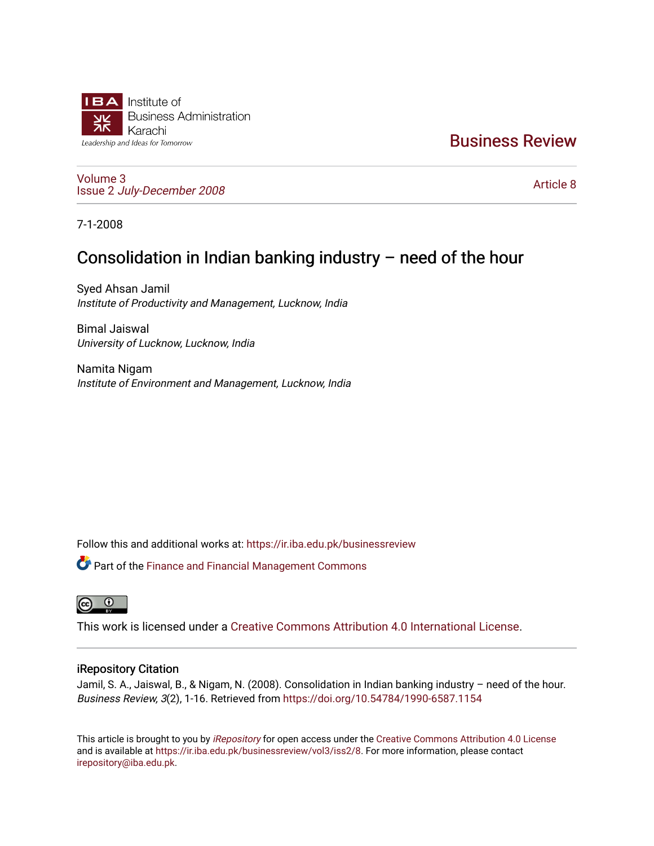

[Business Review](https://ir.iba.edu.pk/businessreview) 

[Volume 3](https://ir.iba.edu.pk/businessreview/vol3) Issue 2 [July-December 2008](https://ir.iba.edu.pk/businessreview/vol3/iss2)

[Article 8](https://ir.iba.edu.pk/businessreview/vol3/iss2/8) 

7-1-2008

## Consolidation in Indian banking industry – need of the hour

Syed Ahsan Jamil Institute of Productivity and Management, Lucknow, India

Bimal Jaiswal University of Lucknow, Lucknow, India

Namita Nigam Institute of Environment and Management, Lucknow, India

Follow this and additional works at: [https://ir.iba.edu.pk/businessreview](https://ir.iba.edu.pk/businessreview?utm_source=ir.iba.edu.pk%2Fbusinessreview%2Fvol3%2Fiss2%2F8&utm_medium=PDF&utm_campaign=PDFCoverPages) 

Part of the [Finance and Financial Management Commons](http://network.bepress.com/hgg/discipline/631?utm_source=ir.iba.edu.pk%2Fbusinessreview%2Fvol3%2Fiss2%2F8&utm_medium=PDF&utm_campaign=PDFCoverPages) 



This work is licensed under a [Creative Commons Attribution 4.0 International License](https://creativecommons.org/licenses/by/4.0/).

### iRepository Citation

Jamil, S. A., Jaiswal, B., & Nigam, N. (2008). Consolidation in Indian banking industry – need of the hour. Business Review, 3(2), 1-16. Retrieved from<https://doi.org/10.54784/1990-6587.1154>

This article is brought to you by [iRepository](https://ir.iba.edu.pk/) for open access under the Creative Commons Attribution 4.0 License and is available at [https://ir.iba.edu.pk/businessreview/vol3/iss2/8.](https://ir.iba.edu.pk/businessreview/vol3/iss2/8) For more information, please contact [irepository@iba.edu.pk.](mailto:irepository@iba.edu.pk)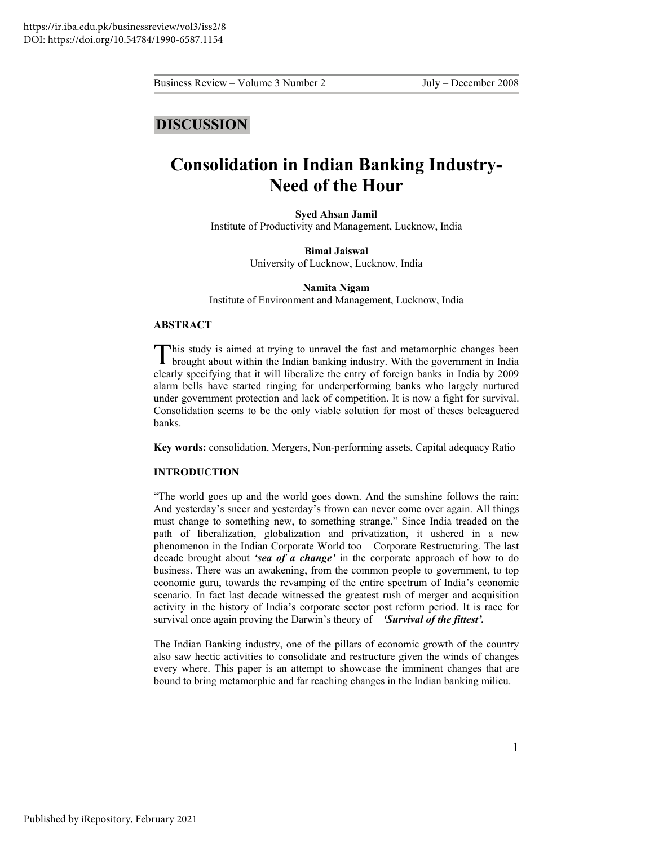### **DISCUSSION**

# **Consolidation in Indian Banking Industry-Need of the Hour**

**Syed Ahsan Jamil**  Institute of Productivity and Management, Lucknow, India

> **Bimal Jaiswal**  University of Lucknow, Lucknow, India

> > **Namita Nigam**

Institute of Environment and Management, Lucknow, India

#### **ABSTRACT**

This study is aimed at trying to unravel the fast and metamorphic changes been This study is aimed at trying to unravel the fast and metamorphic changes been brought about within the Indian banking industry. With the government in India clearly specifying that it will liberalize the entry of foreign banks in India by 2009 alarm bells have started ringing for underperforming banks who largely nurtured under government protection and lack of competition. It is now a fight for survival. Consolidation seems to be the only viable solution for most of theses beleaguered banks.

**Key words:** consolidation, Mergers, Non-performing assets, Capital adequacy Ratio

#### **INTRODUCTION**

"The world goes up and the world goes down. And the sunshine follows the rain; And yesterday's sneer and yesterday's frown can never come over again. All things must change to something new, to something strange." Since India treaded on the path of liberalization, globalization and privatization, it ushered in a new phenomenon in the Indian Corporate World too – Corporate Restructuring. The last decade brought about *'sea of a change'* in the corporate approach of how to do business. There was an awakening, from the common people to government, to top economic guru, towards the revamping of the entire spectrum of India's economic scenario. In fact last decade witnessed the greatest rush of merger and acquisition activity in the history of India's corporate sector post reform period. It is race for survival once again proving the Darwin's theory of – *'Survival of the fittest'.*

The Indian Banking industry, one of the pillars of economic growth of the country also saw hectic activities to consolidate and restructure given the winds of changes every where. This paper is an attempt to showcase the imminent changes that are bound to bring metamorphic and far reaching changes in the Indian banking milieu.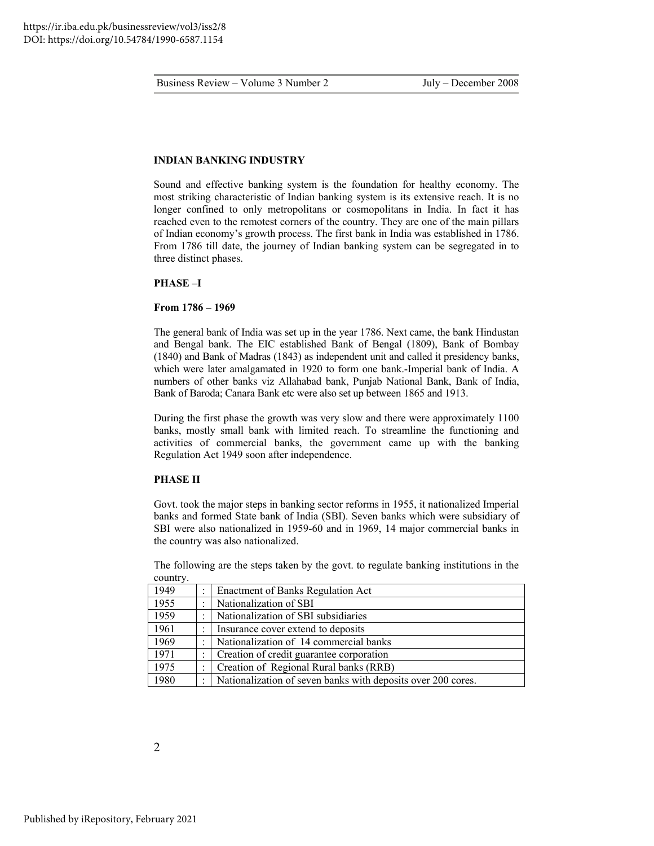#### **INDIAN BANKING INDUSTRY**

Sound and effective banking system is the foundation for healthy economy. The most striking characteristic of Indian banking system is its extensive reach. It is no longer confined to only metropolitans or cosmopolitans in India. In fact it has reached even to the remotest corners of the country. They are one of the main pillars of Indian economy's growth process. The first bank in India was established in 1786. From 1786 till date, the journey of Indian banking system can be segregated in to three distinct phases.

#### **PHASE –I**

#### **From 1786 – 1969**

The general bank of India was set up in the year 1786. Next came, the bank Hindustan and Bengal bank. The EIC established Bank of Bengal (1809), Bank of Bombay (1840) and Bank of Madras (1843) as independent unit and called it presidency banks, which were later amalgamated in 1920 to form one bank.-Imperial bank of India. A numbers of other banks viz Allahabad bank, Punjab National Bank, Bank of India, Bank of Baroda; Canara Bank etc were also set up between 1865 and 1913.

During the first phase the growth was very slow and there were approximately 1100 banks, mostly small bank with limited reach. To streamline the functioning and activities of commercial banks, the government came up with the banking Regulation Act 1949 soon after independence.

#### **PHASE II**

Govt. took the major steps in banking sector reforms in 1955, it nationalized Imperial banks and formed State bank of India (SBI). Seven banks which were subsidiary of SBI were also nationalized in 1959-60 and in 1969, 14 major commercial banks in the country was also nationalized.

The following are the steps taken by the govt. to regulate banking institutions in the country.

| 1949 |   | <b>Enactment of Banks Regulation Act</b>                     |
|------|---|--------------------------------------------------------------|
| 1955 |   | Nationalization of SBI                                       |
| 1959 |   | Nationalization of SBI subsidiaries                          |
| 1961 | ٠ | Insurance cover extend to deposits                           |
| 1969 | ۰ | Nationalization of 14 commercial banks                       |
| 1971 |   | Creation of credit guarantee corporation                     |
| 1975 |   | Creation of Regional Rural banks (RRB)                       |
| 1980 | ٠ | Nationalization of seven banks with deposits over 200 cores. |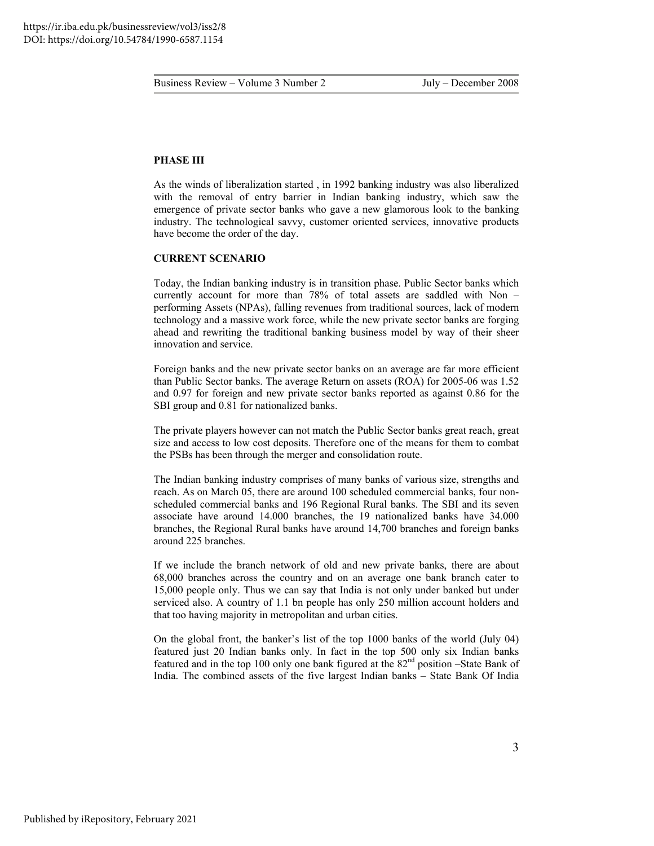#### **PHASE III**

As the winds of liberalization started , in 1992 banking industry was also liberalized with the removal of entry barrier in Indian banking industry, which saw the emergence of private sector banks who gave a new glamorous look to the banking industry. The technological savvy, customer oriented services, innovative products have become the order of the day.

#### **CURRENT SCENARIO**

Today, the Indian banking industry is in transition phase. Public Sector banks which currently account for more than 78% of total assets are saddled with Non – performing Assets (NPAs), falling revenues from traditional sources, lack of modern technology and a massive work force, while the new private sector banks are forging ahead and rewriting the traditional banking business model by way of their sheer innovation and service.

Foreign banks and the new private sector banks on an average are far more efficient than Public Sector banks. The average Return on assets (ROA) for 2005-06 was 1.52 and 0.97 for foreign and new private sector banks reported as against 0.86 for the SBI group and 0.81 for nationalized banks.

The private players however can not match the Public Sector banks great reach, great size and access to low cost deposits. Therefore one of the means for them to combat the PSBs has been through the merger and consolidation route.

The Indian banking industry comprises of many banks of various size, strengths and reach. As on March 05, there are around 100 scheduled commercial banks, four nonscheduled commercial banks and 196 Regional Rural banks. The SBI and its seven associate have around 14.000 branches, the 19 nationalized banks have 34.000 branches, the Regional Rural banks have around 14,700 branches and foreign banks around 225 branches.

If we include the branch network of old and new private banks, there are about 68,000 branches across the country and on an average one bank branch cater to 15,000 people only. Thus we can say that India is not only under banked but under serviced also. A country of 1.1 bn people has only 250 million account holders and that too having majority in metropolitan and urban cities.

On the global front, the banker's list of the top 1000 banks of the world (July 04) featured just 20 Indian banks only. In fact in the top 500 only six Indian banks featured and in the top 100 only one bank figured at the 82nd position –State Bank of India. The combined assets of the five largest Indian banks – State Bank Of India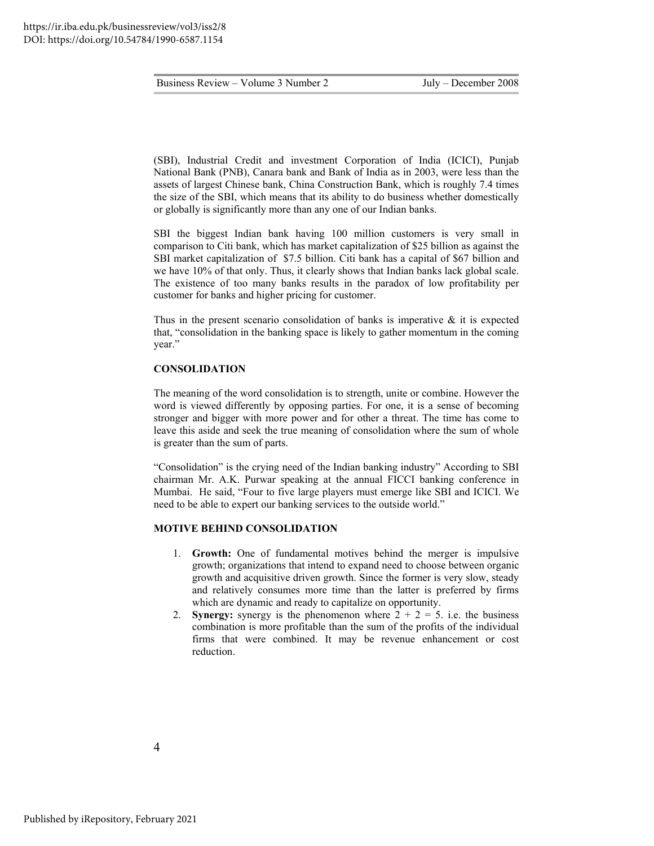(SBI), Industrial Credit and investment Corporation of India (ICICI), Punjab National Bank (PNB), Canara bank and Bank of India as in 2003, were less than the assets of largest Chinese bank, China Construction Bank, which is roughly 7.4 times the size of the SBI, which means that its ability to do business whether domestically or globally is significantly more than any one of our Indian banks.

SBI the biggest Indian bank having 100 million customers is very small in comparison to Citi bank, which has market capitalization of \$25 billion as against the SBI market capitalization of \$7.5 billion. Citi bank has a capital of \$67 billion and we have 10% of that only. Thus, it clearly shows that Indian banks lack global scale. The existence of too many banks results in the paradox of low profitability per customer for banks and higher pricing for customer.

Thus in the present scenario consolidation of banks is imperative  $\&$  it is expected that, "consolidation in the banking space is likely to gather momentum in the coming year."

#### **CONSOLIDATION**

The meaning of the word consolidation is to strength, unite or combine. However the word is viewed differently by opposing parties. For one, it is a sense of becoming stronger and bigger with more power and for other a threat. The time has come to leave this aside and seek the true meaning of consolidation where the sum of whole is greater than the sum of parts.

"Consolidation" is the crying need of the Indian banking industry" According to SBI chairman Mr. A.K. Purwar speaking at the annual FICCI banking conference in Mumbai. He said, "Four to five large players must emerge like SBI and ICICI. We need to be able to expert our banking services to the outside world."

#### **MOTIVE BEHIND CONSOLIDATION**

- 1. **Growth:** One of fundamental motives behind the merger is impulsive growth; organizations that intend to expand need to choose between organic growth and acquisitive driven growth. Since the former is very slow, steady and relatively consumes more time than the latter is preferred by firms which are dynamic and ready to capitalize on opportunity.
- 2. **Synergy:** synergy is the phenomenon where  $2 + 2 = 5$ . i.e. the business combination is more profitable than the sum of the profits of the individual firms that were combined. It may be revenue enhancement or cost reduction.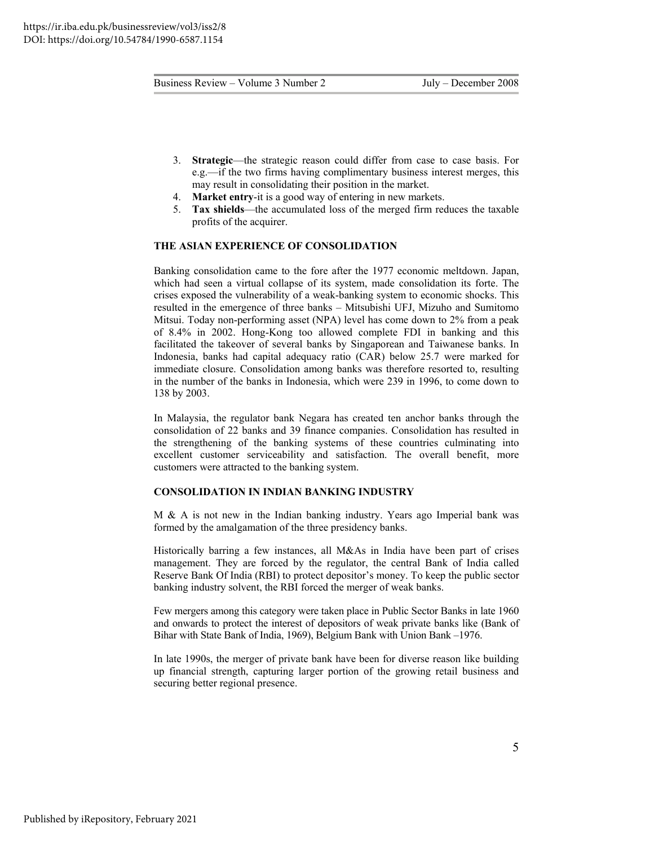- 3. **Strategic**—the strategic reason could differ from case to case basis. For e.g.—if the two firms having complimentary business interest merges, this may result in consolidating their position in the market.
- 4. **Market entry**-it is a good way of entering in new markets.
- 5. **Tax shields**—the accumulated loss of the merged firm reduces the taxable profits of the acquirer.

#### **THE ASIAN EXPERIENCE OF CONSOLIDATION**

Banking consolidation came to the fore after the 1977 economic meltdown. Japan, which had seen a virtual collapse of its system, made consolidation its forte. The crises exposed the vulnerability of a weak-banking system to economic shocks. This resulted in the emergence of three banks – Mitsubishi UFJ, Mizuho and Sumitomo Mitsui. Today non-performing asset (NPA) level has come down to 2% from a peak of 8.4% in 2002. Hong-Kong too allowed complete FDI in banking and this facilitated the takeover of several banks by Singaporean and Taiwanese banks. In Indonesia, banks had capital adequacy ratio (CAR) below 25.7 were marked for immediate closure. Consolidation among banks was therefore resorted to, resulting in the number of the banks in Indonesia, which were 239 in 1996, to come down to 138 by 2003.

In Malaysia, the regulator bank Negara has created ten anchor banks through the consolidation of 22 banks and 39 finance companies. Consolidation has resulted in the strengthening of the banking systems of these countries culminating into excellent customer serviceability and satisfaction. The overall benefit, more customers were attracted to the banking system.

#### **CONSOLIDATION IN INDIAN BANKING INDUSTRY**

M & A is not new in the Indian banking industry. Years ago Imperial bank was formed by the amalgamation of the three presidency banks.

Historically barring a few instances, all M&As in India have been part of crises management. They are forced by the regulator, the central Bank of India called Reserve Bank Of India (RBI) to protect depositor's money. To keep the public sector banking industry solvent, the RBI forced the merger of weak banks.

Few mergers among this category were taken place in Public Sector Banks in late 1960 and onwards to protect the interest of depositors of weak private banks like (Bank of Bihar with State Bank of India, 1969), Belgium Bank with Union Bank –1976.

In late 1990s, the merger of private bank have been for diverse reason like building up financial strength, capturing larger portion of the growing retail business and securing better regional presence.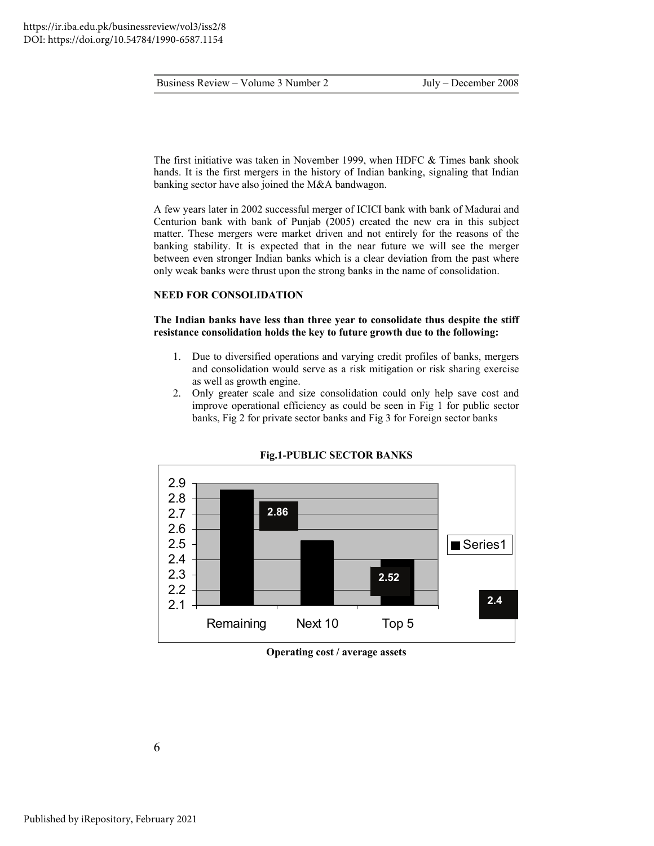The first initiative was taken in November 1999, when HDFC & Times bank shook hands. It is the first mergers in the history of Indian banking, signaling that Indian banking sector have also joined the M&A bandwagon.

A few years later in 2002 successful merger of ICICI bank with bank of Madurai and Centurion bank with bank of Punjab (2005) created the new era in this subject matter. These mergers were market driven and not entirely for the reasons of the banking stability. It is expected that in the near future we will see the merger between even stronger Indian banks which is a clear deviation from the past where only weak banks were thrust upon the strong banks in the name of consolidation.

#### **NEED FOR CONSOLIDATION**

#### **The Indian banks have less than three year to consolidate thus despite the stiff resistance consolidation holds the key to future growth due to the following:**

- 1. Due to diversified operations and varying credit profiles of banks, mergers and consolidation would serve as a risk mitigation or risk sharing exercise as well as growth engine.
- 2. Only greater scale and size consolidation could only help save cost and improve operational efficiency as could be seen in Fig 1 for public sector banks, Fig 2 for private sector banks and Fig 3 for Foreign sector banks



**Fig.1-PUBLIC SECTOR BANKS** 

**Operating cost / average assets**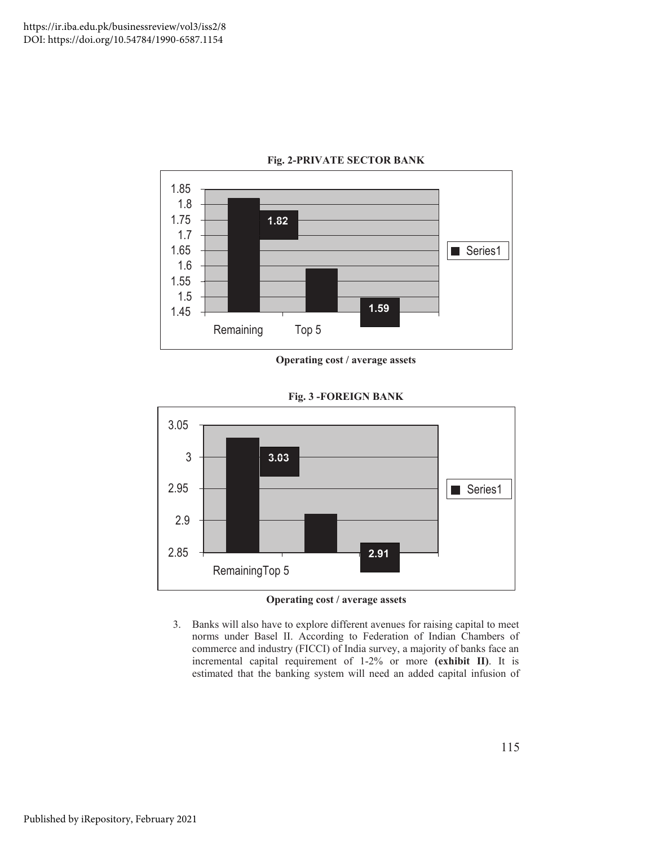

#### **Fig. 2-PRIVATE SECTOR BANK**





**Fig. 3 -FOREIGN BANK** 

- **Operating cost / average assets**
- 3. Banks will also have to explore different avenues for raising capital to meet norms under Basel II. According to Federation of Indian Chambers of commerce and industry (FICCI) of India survey, a majority of banks face an incremental capital requirement of 1-2% or more **(exhibit II)**. It is estimated that the banking system will need an added capital infusion of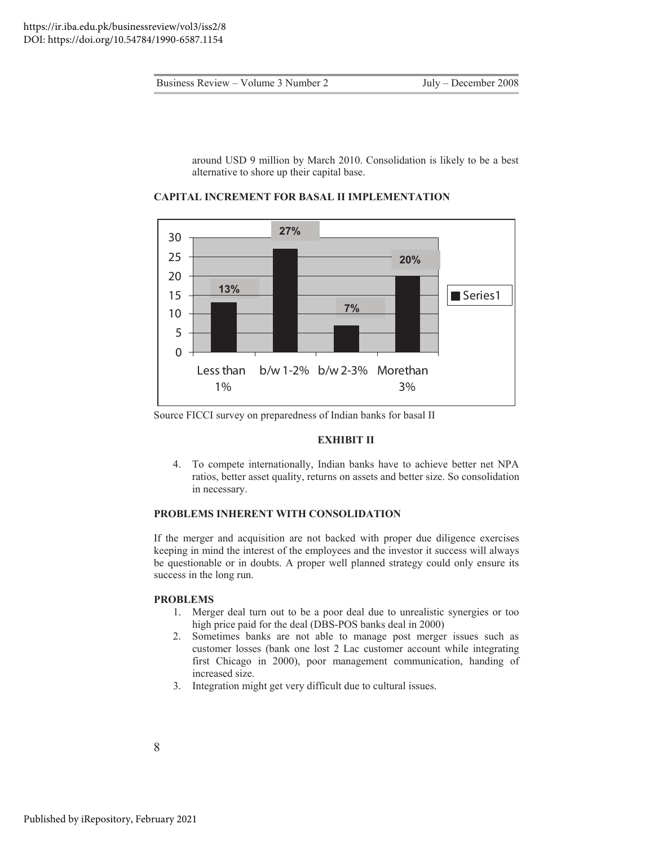around USD 9 million by March 2010. Consolidation is likely to be a best alternative to shore up their capital base.



**CAPITAL INCREMENT FOR BASAL II IMPLEMENTATION** 

Source FICCI survey on preparedness of Indian banks for basal II

#### **EXHIBIT II**

4. To compete internationally, Indian banks have to achieve better net NPA ratios, better asset quality, returns on assets and better size. So consolidation in necessary.

#### **PROBLEMS INHERENT WITH CONSOLIDATION**

If the merger and acquisition are not backed with proper due diligence exercises keeping in mind the interest of the employees and the investor it success will always be questionable or in doubts. A proper well planned strategy could only ensure its success in the long run.

#### **PROBLEMS**

- 1. Merger deal turn out to be a poor deal due to unrealistic synergies or too high price paid for the deal (DBS-POS banks deal in 2000)
- 2. Sometimes banks are not able to manage post merger issues such as customer losses (bank one lost 2 Lac customer account while integrating first Chicago in 2000), poor management communication, handing of increased size.
- 3. Integration might get very difficult due to cultural issues.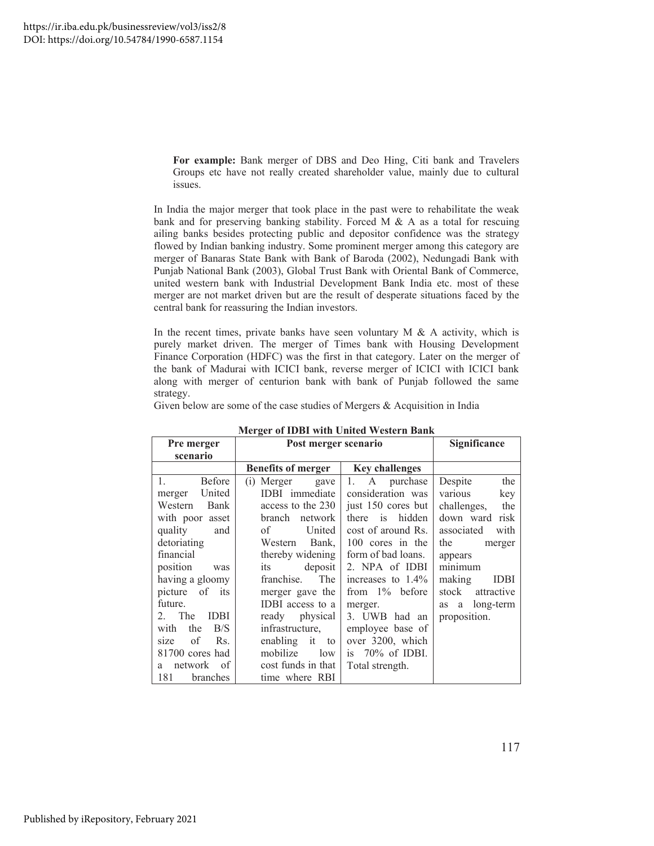**For example:** Bank merger of DBS and Deo Hing, Citi bank and Travelers Groups etc have not really created shareholder value, mainly due to cultural issues.

In India the major merger that took place in the past were to rehabilitate the weak bank and for preserving banking stability. Forced M & A as a total for rescuing ailing banks besides protecting public and depositor confidence was the strategy flowed by Indian banking industry. Some prominent merger among this category are merger of Banaras State Bank with Bank of Baroda (2002), Nedungadi Bank with Punjab National Bank (2003), Global Trust Bank with Oriental Bank of Commerce, united western bank with Industrial Development Bank India etc. most of these merger are not market driven but are the result of desperate situations faced by the central bank for reassuring the Indian investors.

In the recent times, private banks have seen voluntary  $M \& A$  activity, which is purely market driven. The merger of Times bank with Housing Development Finance Corporation (HDFC) was the first in that category. Later on the merger of the bank of Madurai with ICICI bank, reverse merger of ICICI with ICICI bank along with merger of centurion bank with bank of Punjab followed the same strategy.

Given below are some of the case studies of Mergers & Acquisition in India

| <b>Pre merger</b>     | Post merger scenario      |                       | Significance          |
|-----------------------|---------------------------|-----------------------|-----------------------|
| scenario              |                           |                       |                       |
|                       | <b>Benefits of merger</b> | <b>Key challenges</b> |                       |
| <b>Before</b><br>1.   | (i) Merger<br>gave        | 1.<br>A purchase      | the<br>Despite        |
| United<br>merger      | IDBI immediate            | consideration was     | key<br>various        |
| Bank<br>Western       | access to the 230         | just 150 cores but    | challenges,<br>the    |
| with poor asset       | branch network            | there is<br>hidden    | down ward risk        |
| quality<br>and        | of<br>United              | cost of around Rs.    | associated<br>with    |
| detoriating           | Western Bank,             | 100 cores in the      | the<br>merger         |
| financial             | thereby widening          | form of bad loans.    | appears               |
| position<br>was       | deposit<br>its            | 2. NPA of IDBI        | minimum               |
| having a gloomy       | franchise.<br><b>The</b>  | increases to $1.4\%$  | making<br><b>IDBI</b> |
| picture of<br>its     | merger gave the           | from $1\%$ before     | stock<br>attractive   |
| future.               | IDBI access to a          | merger.               | as a long-term        |
| 2. The<br><b>IDBI</b> | ready physical            | 3. UWB had an         | proposition.          |
| B/S<br>the<br>with    | infrastructure.           | employee base of      |                       |
| Rs.<br>of<br>size     | enabling it<br>to         | over 3200, which      |                       |
| 81700 cores had       | mobilize<br>low           | is $70\%$ of IDBI.    |                       |
| of<br>network<br>a    | cost funds in that        | Total strength.       |                       |
| 181<br>branches       | time where RBI            |                       |                       |

**Merger of IDBI with United Western Bank**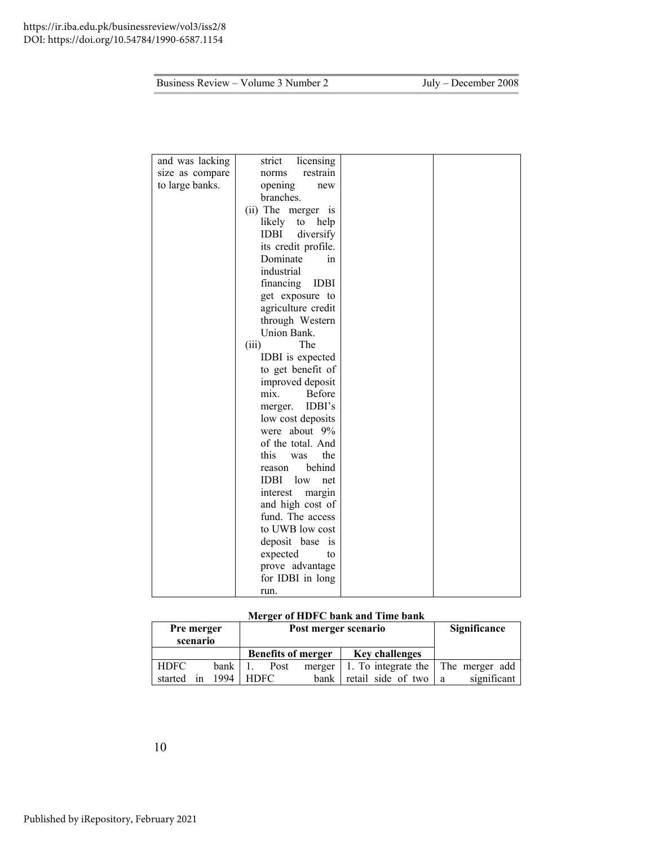| and was lacking | licensing<br>strict            |  |
|-----------------|--------------------------------|--|
| size as compare | restrain<br>norms              |  |
| to large banks. | opening<br>new                 |  |
|                 | branches.                      |  |
|                 | (ii) The merger is             |  |
|                 | likely to help                 |  |
|                 | <b>IDBI</b><br>diversify       |  |
|                 | its credit profile.            |  |
|                 | Dominate<br>1n                 |  |
|                 | industrial                     |  |
|                 | financing<br><b>IDBI</b>       |  |
|                 | get exposure to                |  |
|                 | agriculture credit             |  |
|                 | through Western                |  |
|                 | Union Bank.                    |  |
|                 | The<br>(iii)                   |  |
|                 | IDBI is expected               |  |
|                 | to get benefit of              |  |
|                 | improved deposit               |  |
|                 | Before<br>mix.                 |  |
|                 | IDBI's<br>merger.              |  |
|                 | low cost deposits              |  |
|                 | were about 9%                  |  |
|                 | of the total. And              |  |
|                 | this<br>the<br>was             |  |
|                 | behind<br>reason               |  |
|                 | <b>IDBI</b><br>low<br>net      |  |
|                 | interest<br>margin             |  |
|                 | and high cost of               |  |
|                 | fund. The access               |  |
|                 | to UWB low cost                |  |
|                 | deposit base<br><sub>1</sub> S |  |
|                 | expected<br>to                 |  |
|                 | prove advantage                |  |
|                 | for IDBI in long               |  |
|                 | run.                           |  |

### **Merger of HDFC bank and Time bank**

| Pre merger<br>scenario |    | Post merger scenario |             |      | Significance              |                                    |   |             |
|------------------------|----|----------------------|-------------|------|---------------------------|------------------------------------|---|-------------|
|                        |    |                      |             |      | <b>Benefits of merger</b> | <b>Key challenges</b>              |   |             |
| <b>HDFC</b>            |    | bank                 |             | Post | merger                    | 1. To integrate the The merger add |   |             |
| started                | 1n | 1994                 | <b>HDFC</b> |      | bank                      | retail side of two                 | a | significant |

10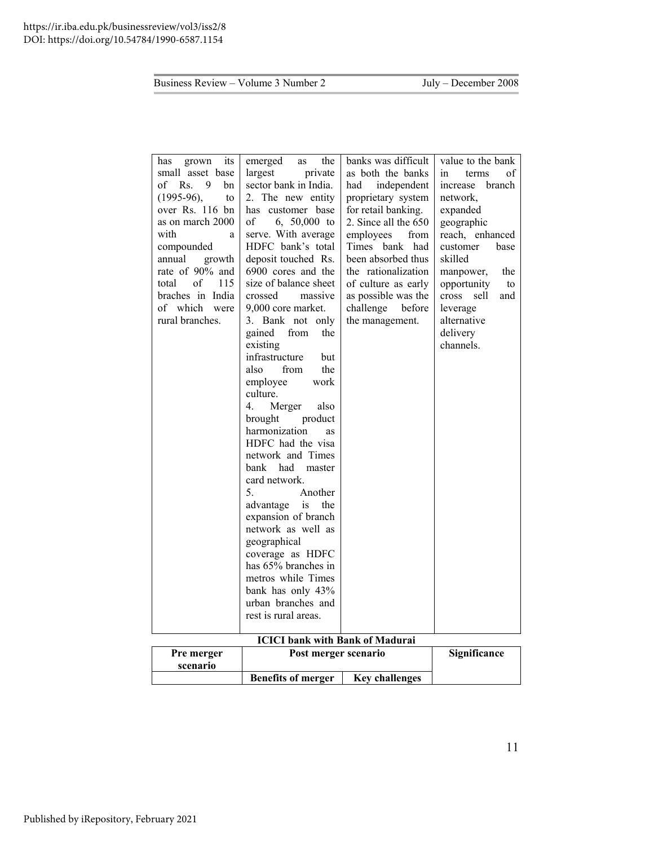| its<br>has<br>grown | emerged<br>the<br>as               | banks was difficult  | value to the bank    |
|---------------------|------------------------------------|----------------------|----------------------|
| small asset base    | largest<br>private                 | as both the banks    | in<br>of<br>terms    |
| $of$ Rs.<br>9<br>bn | sector bank in India.              | had<br>independent   | branch<br>increase   |
| $(1995-96),$<br>to  | 2. The new entity                  | proprietary system   | network,             |
| over Rs. 116 bn     | has customer base                  | for retail banking.  | expanded             |
| as on march 2000    | of<br>6, $50,000$ to               | 2. Since all the 650 | geographic           |
| with<br>a           | serve. With average                | employees<br>from    | reach, enhanced      |
| compounded          | HDFC bank's total                  | Times bank<br>had    | customer<br>base     |
| annual<br>growth    | deposit touched Rs.                | been absorbed thus   | skilled              |
| rate of 90% and     | 6900 cores and the                 | the rationalization  | manpower,<br>the     |
| of<br>115<br>total  | size of balance sheet              | of culture as early  | opportunity<br>to    |
| braches in India    | crossed<br>massive                 | as possible was the  | cross<br>sell<br>and |
| of which were       | 9,000 core market.                 | challenge before     | leverage             |
| rural branches.     | 3. Bank not only                   | the management.      | alternative          |
|                     | gained<br>from<br>the              |                      | delivery             |
|                     | existing                           |                      | channels.            |
|                     | infrastructure<br>but              |                      |                      |
|                     | the<br>also<br>from                |                      |                      |
|                     | work<br>employee                   |                      |                      |
|                     | culture.                           |                      |                      |
|                     | 4.<br>Merger<br>also               |                      |                      |
|                     | brought<br>product                 |                      |                      |
|                     | harmonization<br><b>as</b>         |                      |                      |
|                     | HDFC had the visa                  |                      |                      |
|                     | network and Times                  |                      |                      |
|                     | bank<br>had<br>master              |                      |                      |
|                     | card network.                      |                      |                      |
|                     | 5.<br>Another                      |                      |                      |
|                     | advantage is<br>the                |                      |                      |
|                     | expansion of branch                |                      |                      |
|                     | network as well as                 |                      |                      |
|                     | geographical                       |                      |                      |
|                     | coverage as HDFC                   |                      |                      |
|                     | has 65% branches in                |                      |                      |
|                     | metros while Times                 |                      |                      |
|                     | bank has only 43%                  |                      |                      |
|                     | urban branches and                 |                      |                      |
|                     | rest is rural areas.               |                      |                      |
|                     |                                    |                      |                      |
|                     | $ICICI$ hands with Dank of Madura: |                      |                      |

#### **<u>Dank with Bank of Madurai</u> Pre merger scenario Post merger scenario Significance**

| scenario |                           |                       |
|----------|---------------------------|-----------------------|
|          | <b>Benefits of merger</b> | <b>Key challenges</b> |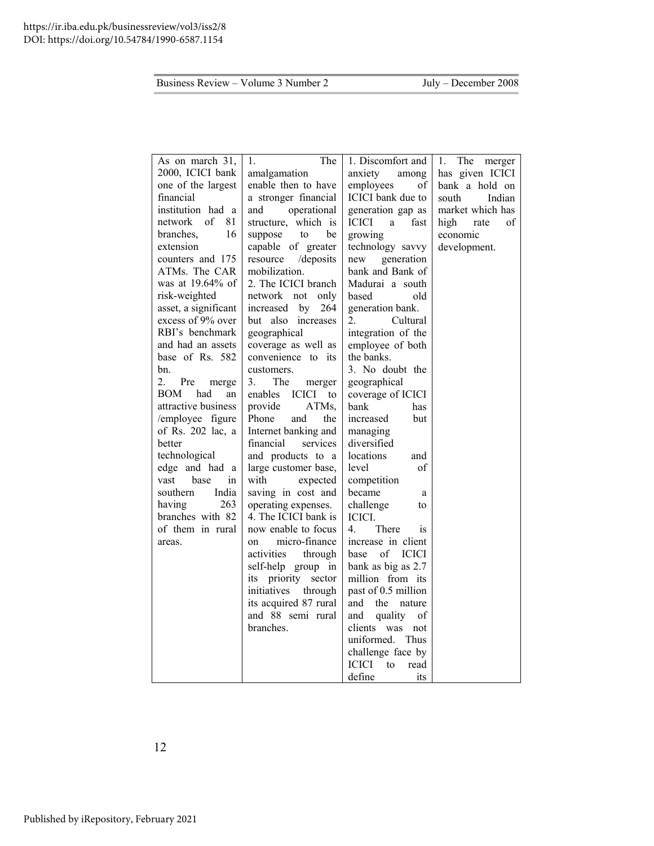| As on march 31,                | The<br>1.                      | 1. Discomfort and           | The<br>1.<br>merger |
|--------------------------------|--------------------------------|-----------------------------|---------------------|
| 2000, ICICI bank               | amalgamation                   | anxiety<br>among            | has given ICICI     |
| one of the largest             | enable then to have            | employees<br>оf             | bank a hold on      |
| financial                      | a stronger financial           | ICICI bank due to           | south<br>Indian     |
| institution had a              | operational<br>and             | generation gap as           | market which has    |
| <sub>of</sub><br>network<br>81 | structure, which is            | <b>ICICI</b><br>fast<br>a   | high<br>οf<br>rate  |
| branches,<br>16                | be<br>suppose<br>to            | growing                     | economic            |
| extension                      | capable of greater             | technology savvy            | development.        |
| counters and 175               | resource<br>/deposits          | generation<br>new           |                     |
| ATMs. The CAR                  | mobilization.                  | bank and Bank of            |                     |
| was at $19.64\%$ of            | 2. The ICICI branch            | Madurai a south             |                     |
| risk-weighted                  | network not<br>only            | based<br>old                |                     |
| asset, a significant           | increased by<br>264            | generation bank.            |                     |
| excess of 9% over              | but also increases             | 2.<br>Cultural              |                     |
| RBI's benchmark                | geographical                   | integration of the          |                     |
| and had an assets              | coverage as well as            | employee of both            |                     |
| base of Rs. 582                | convenience to its             | the banks.                  |                     |
| bn.                            | customers.                     | 3. No doubt the             |                     |
| 2.<br>Pre<br>merge             | The<br>3.<br>merger            | geographical                |                     |
| <b>BOM</b><br>had<br>an        | <b>ICICI</b><br>enables<br>to  | coverage of ICICI           |                     |
| attractive business            | ATMs,<br>provide               | bank<br>has                 |                     |
| /employee figure               | Phone<br>the<br>and            | increased<br>but            |                     |
| of Rs. 202 lac, a              | Internet banking and           | managing                    |                     |
| better                         | financial<br>services          | diversified                 |                     |
| technological                  | and products to a              | locations<br>and            |                     |
| edge and had a                 | large customer base,           | level<br>οf                 |                     |
| vast<br>base<br>in             | with<br>expected               | competition                 |                     |
| India<br>southern              | saving in cost and             | became<br>a                 |                     |
| 263<br>having                  | operating expenses.            | challenge<br>to             |                     |
| branches with 82               | 4. The ICICI bank is           | ICICI.                      |                     |
| of them in rural               | now enable to focus            | 4<br>There<br><sub>1s</sub> |                     |
| areas.                         | micro-finance<br><sub>on</sub> | increase in client          |                     |
|                                | activities<br>through          | base of ICICI               |                     |
|                                | self-help group in             | bank as big as 2.7          |                     |
|                                | priority sector<br>its         | million from its            |                     |
|                                | initiatives<br>through         | past of 0.5 million         |                     |
|                                | its acquired 87 rural          | and<br>the<br>nature        |                     |
|                                | and 88 semi rural              | quality<br>and<br>οf        |                     |
|                                | branches.                      | clients was not             |                     |
|                                |                                | uniformed.<br>Thus          |                     |
|                                |                                | challenge face by           |                     |
|                                |                                | <b>ICICI</b><br>to<br>read  |                     |
|                                |                                | define<br>its               |                     |

12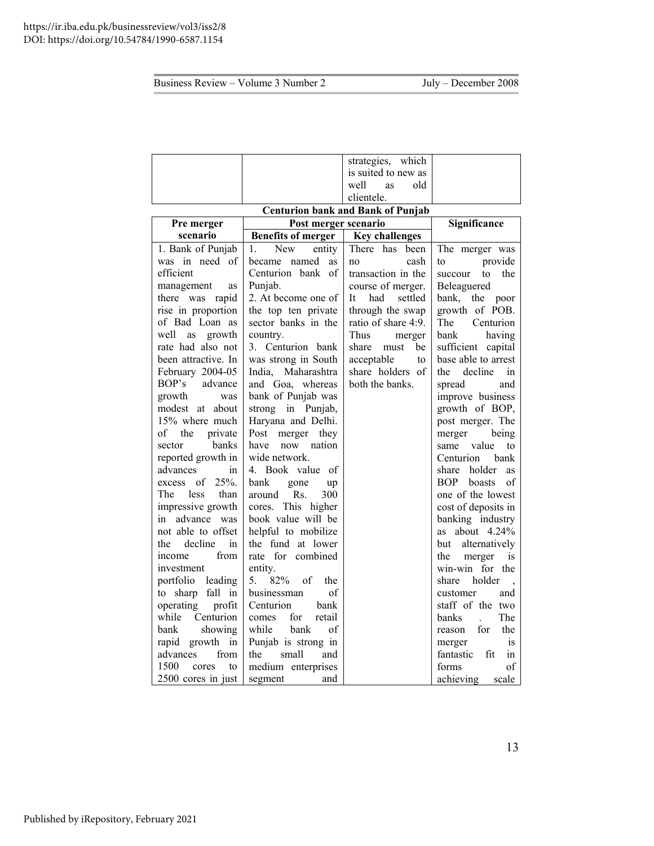|                            |                           | strategies, which                        |                              |
|----------------------------|---------------------------|------------------------------------------|------------------------------|
|                            |                           | is suited to new as                      |                              |
|                            |                           | old<br>well<br>as                        |                              |
|                            |                           | clientele.                               |                              |
|                            |                           | <b>Centurion bank and Bank of Punjab</b> |                              |
| Pre merger                 | Post merger scenario      | Significance                             |                              |
| scenario                   | <b>Benefits of merger</b> | <b>Key challenges</b>                    |                              |
| 1. Bank of Punjab          | New<br>entity<br>1.       | There has<br>been                        | The merger was               |
| was in need of             | named<br>became<br>as     | cash<br>no                               | provide<br>to                |
| efficient                  | Centurion bank of         | transaction in the                       | the<br>succour<br>to         |
| management<br>as           | Punjab.                   | course of merger.                        | Beleaguered                  |
| there was<br>rapid         | 2. At become one of       | It<br>had<br>settled                     | bank, the<br>poor            |
| rise in proportion         | the top ten private       | through the swap                         | growth of POB.               |
| of Bad Loan as             | sector banks in the       | ratio of share 4:9.                      | The Centurion                |
| well<br>growth<br>as       | country.                  | Thus<br>merger                           | having<br>bank               |
| rate had also not          | 3. Centurion bank         | be<br>share<br>must                      | sufficient capital           |
| been attractive. In        | was strong in South       | acceptable<br>to                         | base able to arrest          |
| February 2004-05           | India, Maharashtra        | share holders of                         | decline<br>the<br>in         |
| BOP's<br>advance           | and Goa, whereas          | both the banks.                          | spread<br>and                |
| growth<br>was              | bank of Punjab was        |                                          | improve business             |
| modest at about            | strong in Punjab,         |                                          | growth of BOP,               |
| 15% where much             | Haryana and Delhi.        |                                          | post merger. The             |
| of<br>the<br>private       | Post<br>merger<br>they    |                                          | merger<br>being              |
| banks<br>sector            | now nation<br>have        |                                          | value<br>same<br>to          |
| reported growth in         | wide network.             |                                          | Centurion<br>bank            |
| advances<br>in             | 4. Book value of          |                                          | holder<br>share<br><b>as</b> |
| 25%.<br>of<br>excess       | bank<br>gone<br>up        |                                          | <b>BOP</b><br>boasts<br>οf   |
| The<br><i>less</i><br>than | 300<br>Rs.<br>around      |                                          | one of the lowest            |
| impressive growth          | cores. This higher        |                                          | cost of deposits in          |
| advance was<br>in          | book value will be        |                                          | banking industry             |
| not able to offset         | helpful to mobilize       |                                          | as about $4.24\%$            |
| decline<br>in<br>the       | the fund at lower         |                                          | alternatively<br>but         |
| from<br>income             | rate for combined         |                                          | the<br>merger<br>is          |
| investment                 | entity.                   |                                          | win-win for the              |
| portfolio<br>leading       | 82%<br>of<br>5.<br>the    |                                          | holder<br>share              |
| sharp fall in<br>to        | of<br>businessman         |                                          | customer<br>and              |
| operating<br>profit        | Centurion<br>bank         |                                          | staff of the two             |
| while<br>Centurion         | retail<br>for<br>comes    |                                          | The<br>banks                 |
| bank<br>showing            | while<br>of<br>bank       |                                          | the<br>for<br>reason         |
| growth in<br>rapid         | Punjab is strong in       |                                          | merger<br>1S                 |
| from<br>advances           | the<br>small<br>and       |                                          | fantastic<br>fit<br>in       |
| 1500<br>cores<br>to        | medium enterprises        |                                          | οf<br>forms                  |
| 2500 cores in just         | segment<br>and            |                                          | achieving<br>scale           |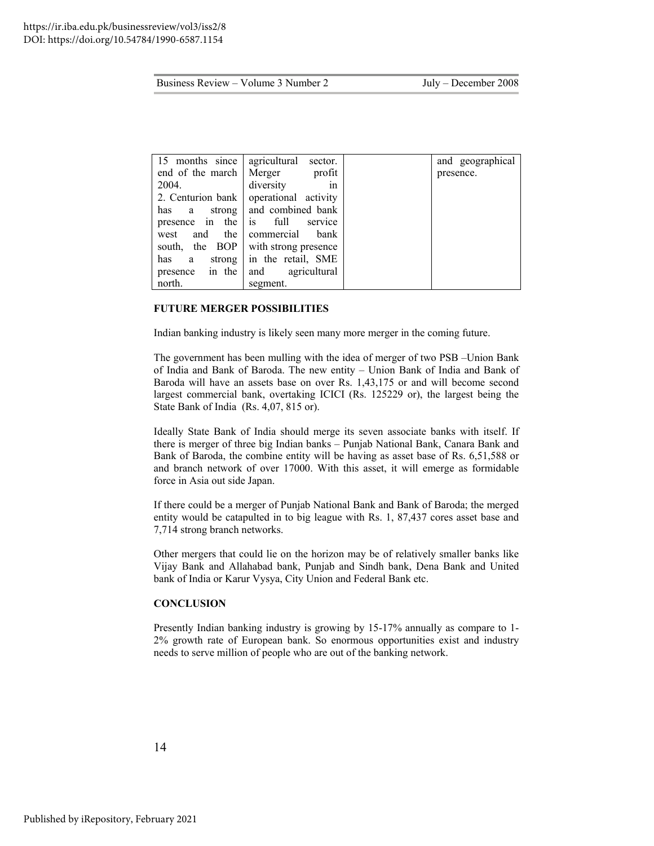| 15 months since           | agricultural<br>sector.      | and geographical |
|---------------------------|------------------------------|------------------|
| end of the march   Merger | profit                       | presence.        |
| 2004.                     | diversity<br>1n              |                  |
| 2. Centurion bank         | operational activity         |                  |
| has<br>a                  | strong and combined bank     |                  |
| presence in<br>the        | full<br>service<br><i>is</i> |                  |
| the  <br>and<br>west      | commercial<br>bank           |                  |
| south,                    | the BOP with strong presence |                  |
| has<br>a                  | strong in the retail, SME    |                  |
| in the<br>presence        | agricultural<br>and          |                  |
| north.                    | segment.                     |                  |

#### **FUTURE MERGER POSSIBILITIES**

Indian banking industry is likely seen many more merger in the coming future.

The government has been mulling with the idea of merger of two PSB –Union Bank of India and Bank of Baroda. The new entity – Union Bank of India and Bank of Baroda will have an assets base on over Rs. 1,43,175 or and will become second largest commercial bank, overtaking ICICI (Rs. 125229 or), the largest being the State Bank of India (Rs. 4,07, 815 or).

Ideally State Bank of India should merge its seven associate banks with itself. If there is merger of three big Indian banks – Punjab National Bank, Canara Bank and Bank of Baroda, the combine entity will be having as asset base of Rs. 6,51,588 or and branch network of over 17000. With this asset, it will emerge as formidable force in Asia out side Japan.

If there could be a merger of Punjab National Bank and Bank of Baroda; the merged entity would be catapulted in to big league with Rs. 1, 87,437 cores asset base and 7,714 strong branch networks.

Other mergers that could lie on the horizon may be of relatively smaller banks like Vijay Bank and Allahabad bank, Punjab and Sindh bank, Dena Bank and United bank of India or Karur Vysya, City Union and Federal Bank etc.

#### **CONCLUSION**

Presently Indian banking industry is growing by 15-17% annually as compare to 1- 2% growth rate of European bank. So enormous opportunities exist and industry needs to serve million of people who are out of the banking network.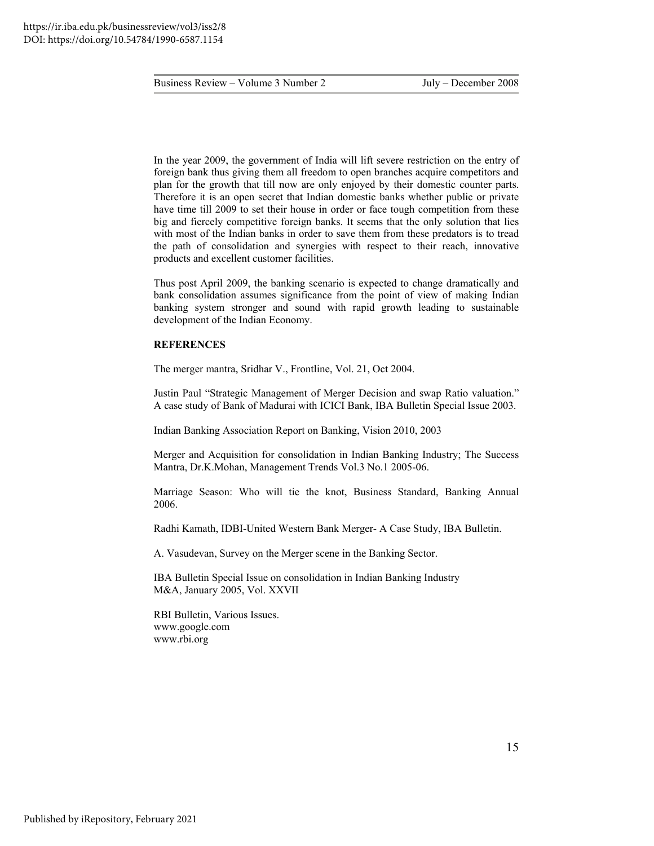In the year 2009, the government of India will lift severe restriction on the entry of foreign bank thus giving them all freedom to open branches acquire competitors and plan for the growth that till now are only enjoyed by their domestic counter parts. Therefore it is an open secret that Indian domestic banks whether public or private have time till 2009 to set their house in order or face tough competition from these big and fiercely competitive foreign banks. It seems that the only solution that lies with most of the Indian banks in order to save them from these predators is to tread the path of consolidation and synergies with respect to their reach, innovative products and excellent customer facilities.

Thus post April 2009, the banking scenario is expected to change dramatically and bank consolidation assumes significance from the point of view of making Indian banking system stronger and sound with rapid growth leading to sustainable development of the Indian Economy.

#### **REFERENCES**

The merger mantra, Sridhar V., Frontline, Vol. 21, Oct 2004.

Justin Paul "Strategic Management of Merger Decision and swap Ratio valuation." A case study of Bank of Madurai with ICICI Bank, IBA Bulletin Special Issue 2003.

Indian Banking Association Report on Banking, Vision 2010, 2003

Merger and Acquisition for consolidation in Indian Banking Industry; The Success Mantra, Dr.K.Mohan, Management Trends Vol.3 No.1 2005-06.

Marriage Season: Who will tie the knot, Business Standard, Banking Annual 2006.

Radhi Kamath, IDBI-United Western Bank Merger- A Case Study, IBA Bulletin.

A. Vasudevan, Survey on the Merger scene in the Banking Sector.

IBA Bulletin Special Issue on consolidation in Indian Banking Industry M&A, January 2005, Vol. XXVII

RBI Bulletin, Various Issues. [www.google.com](http://www.google.com/)  [www.rbi.org](http://www.rbi.org/)